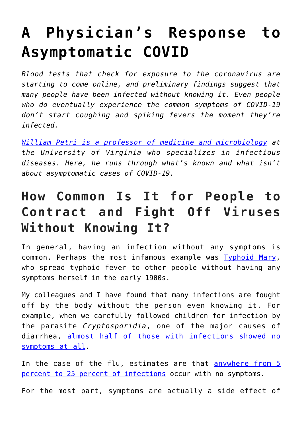# **[A Physician's Response to](https://intellectualtakeout.org/2020/04/a-physicians-response-to-asymptomatic-covid/) [Asymptomatic COVID](https://intellectualtakeout.org/2020/04/a-physicians-response-to-asymptomatic-covid/)**

*Blood tests that check for exposure to the coronavirus are starting to come online, and preliminary findings suggest that many people have been infected without knowing it. Even people who do eventually experience the common symptoms of COVID-19 don't start coughing and spiking fevers the moment they're infected.*

*[William Petri is a professor of medicine and microbiology](https://scholar.google.com/citations?user=6yMIM1MAAAAJ&hl=en&oi=ao) at the University of Virginia who specializes in infectious diseases. Here, he runs through what's known and what isn't about asymptomatic cases of COVID-19.*

#### **How Common Is It for People to Contract and Fight Off Viruses Without Knowing It?**

In general, having an infection without any symptoms is common. Perhaps the most infamous example was **Typhoid Mary**, who spread typhoid fever to other people without having any symptoms herself in the early 1900s.

My colleagues and I have found that many infections are fought off by the body without the person even knowing it. For example, when we carefully followed children for infection by the parasite *Cryptosporidia*, one of the major causes of diarrhea, [almost half of those with infections showed no](https://doi.org/10.1093/cid/ciy310) [symptoms at all](https://doi.org/10.1093/cid/ciy310).

In the case of the flu, estimates are that [anywhere from 5](https://doi.org/10.1097/EDE.0000000000000340) [percent to 25 percent of infections](https://doi.org/10.1097/EDE.0000000000000340) occur with no symptoms.

For the most part, symptoms are actually a side effect of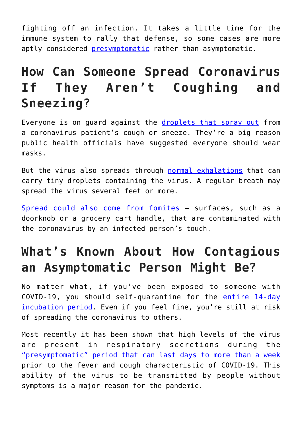fighting off an infection. It takes a little time for the immune system to rally that defense, so some cases are more aptly considered [presymptomatic](http://dx.doi.org/10.15585/mmwr.mm6914e1) rather than asymptomatic.

## **How Can Someone Spread Coronavirus If They Aren't Coughing and Sneezing?**

Everyone is on guard against the [droplets that spray out](https://theconversation.com/coronavirus-drifts-through-the-air-in-microscopic-droplets-heres-the-science-of-infectious-aerosols-136663) from a coronavirus patient's cough or sneeze. They're a big reason public health officials have suggested everyone should wear masks.

But the virus also spreads through [normal exhalations](https://doi.org/10.1080/02786826.2020.1749229) that can carry tiny droplets containing the virus. A regular breath may spread the virus several feet or more.

[Spread could also come from fomites](https://theconversation.com/viruses-live-on-doorknobs-and-phones-and-can-get-you-sick-smart-cleaning-and-good-habits-can-help-protect-you-133054) – surfaces, such as a doorknob or a grocery cart handle, that are contaminated with the coronavirus by an infected person's touch.

## **What's Known About How Contagious an Asymptomatic Person Might Be?**

No matter what, if you've been exposed to someone with COVID-19, you should self-quarantine for the [entire 14-day](https://www.cdc.gov/coronavirus/2019-ncov/symptoms-testing/symptoms.html) [incubation period](https://www.cdc.gov/coronavirus/2019-ncov/symptoms-testing/symptoms.html). Even if you feel fine, you're still at risk of spreading the coronavirus to others.

Most recently it has been shown that high levels of the virus are present in respiratory secretions during the ["presymptomatic" period that can last days to more than a week](https://doi.org/10.1056/NEJMe2009758) prior to the fever and cough characteristic of COVID-19. This ability of the virus to be transmitted by people without symptoms is a major reason for the pandemic.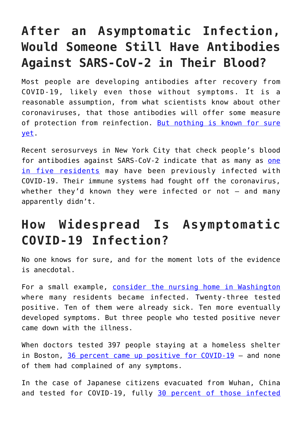## **After an Asymptomatic Infection, Would Someone Still Have Antibodies Against SARS-CoV-2 in Their Blood?**

Most people are developing antibodies after recovery from COVID-19, likely even those without symptoms. It is a reasonable assumption, from what scientists know about other coronaviruses, that those antibodies will offer some measure of protection from reinfection. [But nothing is known for sure](https://www.who.int/news-room/commentaries/detail/immunity-passports-in-the-context-of-covid-19) [yet.](https://www.who.int/news-room/commentaries/detail/immunity-passports-in-the-context-of-covid-19)

Recent serosurveys in New York City that check people's blood for antibodies against SARS-CoV-2 indicate that as many as [one](https://www.nytimes.com/2020/04/23/nyregion/coronavirus-antibodies-test-ny.html) [in five residents](https://www.nytimes.com/2020/04/23/nyregion/coronavirus-antibodies-test-ny.html) may have been previously infected with COVID-19. Their immune systems had fought off the coronavirus, whether they'd known they were infected or not  $-$  and many apparently didn't.

#### **How Widespread Is Asymptomatic COVID-19 Infection?**

No one knows for sure, and for the moment lots of the evidence is anecdotal.

For a small example, [consider the nursing home in Washington](https://doi.org/10.1056/NEJMoa2005412) where many residents became infected. Twenty-three tested positive. Ten of them were already sick. Ten more eventually developed symptoms. But three people who tested positive never came down with the illness.

When doctors tested 397 people staying at a homeless shelter in Boston, [36 percent came up positive for COVID-19](https://www.wbur.org/commonhealth/2020/04/14/coronavirus-boston-homeless-testing) – and none of them had complained of any symptoms.

In the case of Japanese citizens evacuated from Wuhan, China and tested for COVID-19, fully [30 percent of those infected](https://www.japantimes.co.jp/news/2020/02/13/national/japan-wuhan-evacuees-go-home/#.XqjQUS2ZPOQ)